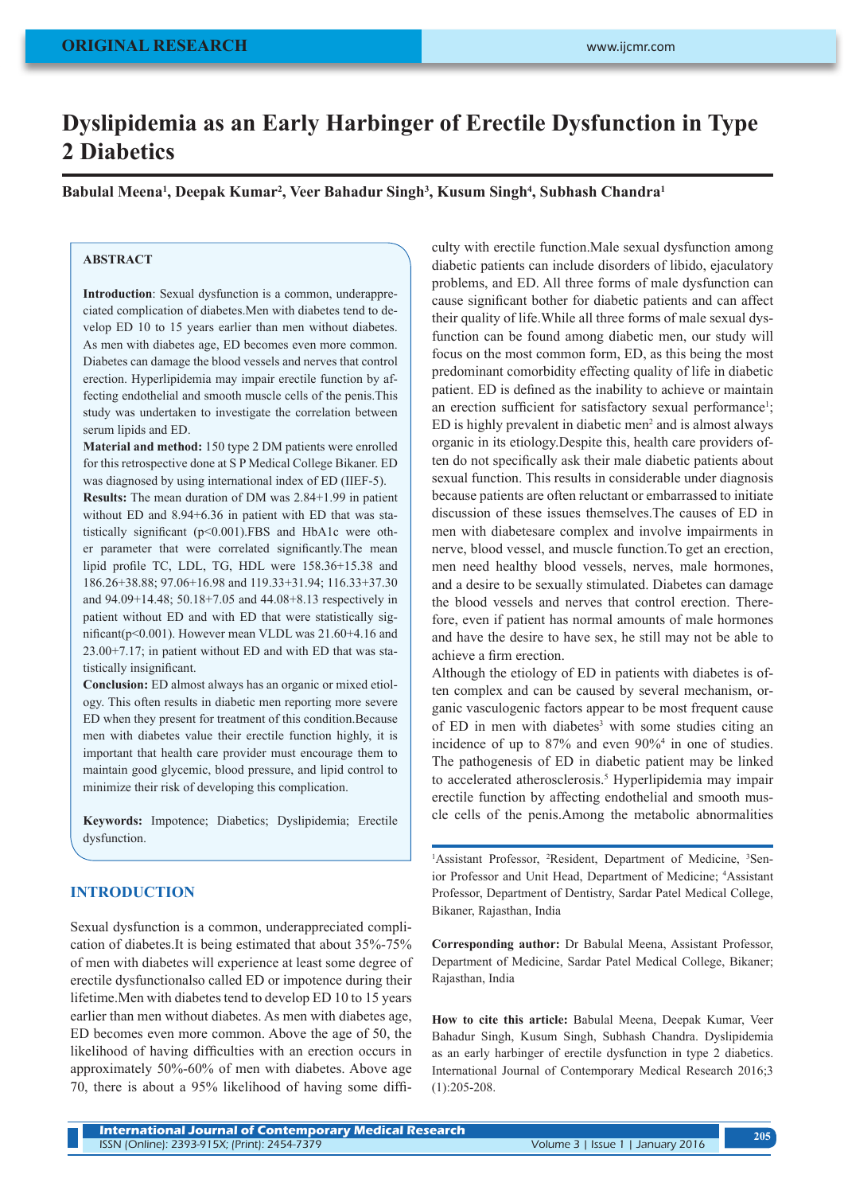# **Dyslipidemia as an Early Harbinger of Erectile Dysfunction in Type 2 Diabetics**

**Babulal Meena1 , Deepak Kumar2 , Veer Bahadur Singh3 , Kusum Singh4 , Subhash Chandra1**

## **ABSTRACT**

**Introduction**: Sexual dysfunction is a common, underappreciated complication of diabetes.Men with diabetes tend to develop ED 10 to 15 years earlier than men without diabetes. As men with diabetes age, ED becomes even more common. Diabetes can damage the blood vessels and nerves that control erection. Hyperlipidemia may impair erectile function by affecting endothelial and smooth muscle cells of the penis.This study was undertaken to investigate the correlation between serum lipids and ED.

**Material and method:** 150 type 2 DM patients were enrolled for this retrospective done at S P Medical College Bikaner. ED was diagnosed by using international index of ED (IIEF-5).

**Results:** The mean duration of DM was 2.84+1.99 in patient without ED and 8.94+6.36 in patient with ED that was statistically significant (p<0.001).FBS and HbA1c were other parameter that were correlated significantly.The mean lipid profile TC, LDL, TG, HDL were 158.36+15.38 and 186.26+38.88; 97.06+16.98 and 119.33+31.94; 116.33+37.30 and 94.09+14.48; 50.18+7.05 and 44.08+8.13 respectively in patient without ED and with ED that were statistically significant(p<0.001). However mean VLDL was 21.60+4.16 and 23.00+7.17; in patient without ED and with ED that was statistically insignificant.

**Conclusion:** ED almost always has an organic or mixed etiology. This often results in diabetic men reporting more severe ED when they present for treatment of this condition.Because men with diabetes value their erectile function highly, it is important that health care provider must encourage them to maintain good glycemic, blood pressure, and lipid control to minimize their risk of developing this complication.

**Keywords:** Impotence; Diabetics; Dyslipidemia; Erectile dysfunction

## **INTRODUCTION**

Sexual dysfunction is a common, underappreciated complication of diabetes.It is being estimated that about 35%-75% of men with diabetes will experience at least some degree of erectile dysfunctionalso called ED or impotence during their lifetime.Men with diabetes tend to develop ED 10 to 15 years earlier than men without diabetes. As men with diabetes age, ED becomes even more common. Above the age of 50, the likelihood of having difficulties with an erection occurs in approximately 50%-60% of men with diabetes. Above age 70, there is about a 95% likelihood of having some difficulty with erectile function.Male sexual dysfunction among diabetic patients can include disorders of libido, ejaculatory problems, and ED. All three forms of male dysfunction can cause significant bother for diabetic patients and can affect their quality of life.While all three forms of male sexual dysfunction can be found among diabetic men, our study will focus on the most common form, ED, as this being the most predominant comorbidity effecting quality of life in diabetic patient. ED is defined as the inability to achieve or maintain an erection sufficient for satisfactory sexual performance<sup>1</sup>; ED is highly prevalent in diabetic men<sup>2</sup> and is almost always organic in its etiology.Despite this, health care providers often do not specifically ask their male diabetic patients about sexual function. This results in considerable under diagnosis because patients are often reluctant or embarrassed to initiate discussion of these issues themselves. The causes of ED in men with diabetesare complex and involve impairments in nerve, blood vessel, and muscle function.To get an erection, men need healthy blood vessels, nerves, male hormones, and a desire to be sexually stimulated. Diabetes can damage the blood vessels and nerves that control erection. Therefore, even if patient has normal amounts of male hormones and have the desire to have sex, he still may not be able to achieve a firm erection.

Although the etiology of ED in patients with diabetes is often complex and can be caused by several mechanism, organic vasculogenic factors appear to be most frequent cause of ED in men with diabetes<sup>3</sup> with some studies citing an incidence of up to 87% and even 90%4 in one of studies. The pathogenesis of ED in diabetic patient may be linked to accelerated atherosclerosis.<sup>5</sup> Hyperlipidemia may impair erectile function by affecting endothelial and smooth muscle cells of the penis.Among the metabolic abnormalities

<sup>1</sup>Assistant Professor, <sup>2</sup>Resident, Department of Medicine, <sup>3</sup>Senior Professor and Unit Head, Department of Medicine; 4 Assistant Professor, Department of Dentistry, Sardar Patel Medical College, Bikaner, Rajasthan, India

**Corresponding author:** Dr Babulal Meena, Assistant Professor, Department of Medicine, Sardar Patel Medical College, Bikaner; Rajasthan, India

**How to cite this article:** Babulal Meena, Deepak Kumar, Veer Bahadur Singh, Kusum Singh, Subhash Chandra. Dyslipidemia as an early harbinger of erectile dysfunction in type 2 diabetics. International Journal of Contemporary Medical Research 2016;3 (1):205-208.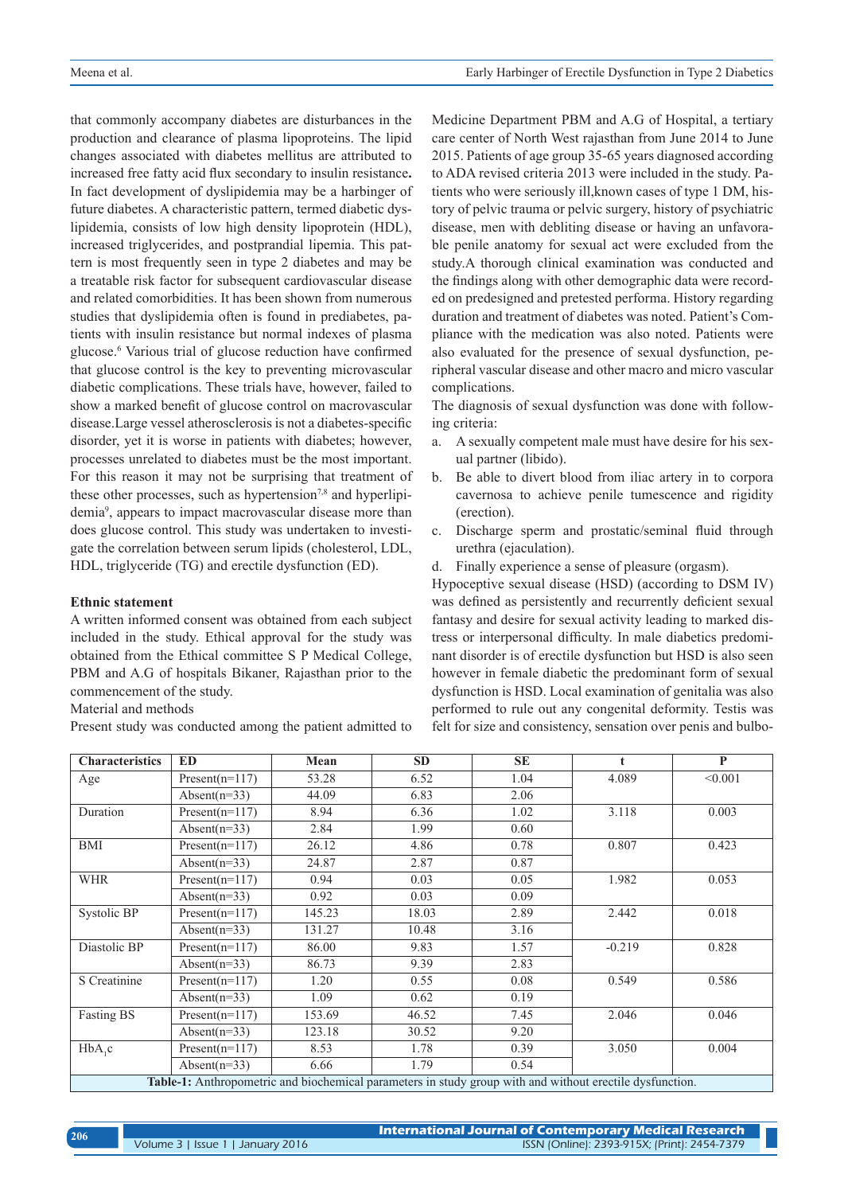that commonly accompany diabetes are disturbances in the production and clearance of plasma lipoproteins. The lipid changes associated with diabetes mellitus are attributed to increased free fatty acid flux secondary to insulin resistance**.** In fact development of dyslipidemia may be a harbinger of future diabetes. A characteristic pattern, termed diabetic dyslipidemia, consists of low high density lipoprotein (HDL), increased triglycerides, and postprandial lipemia. This pattern is most frequently seen in type 2 diabetes and may be a treatable risk factor for subsequent cardiovascular disease and related comorbidities. It has been shown from numerous studies that dyslipidemia often is found in prediabetes, patients with insulin resistance but normal indexes of plasma glucose.6 Various trial of glucose reduction have confirmed that glucose control is the key to preventing microvascular diabetic complications. These trials have, however, failed to show a marked benefit of glucose control on macrovascular disease.Large vessel atherosclerosis is not a diabetes-specific disorder, yet it is worse in patients with diabetes; however, processes unrelated to diabetes must be the most important. For this reason it may not be surprising that treatment of these other processes, such as hypertension<sup>7,8</sup> and hyperlipidemia9 , appears to impact macrovascular disease more than does glucose control. This study was undertaken to investigate the correlation between serum lipids (cholesterol, LDL, HDL, triglyceride (TG) and erectile dysfunction (ED).

#### **Ethnic statement**

A written informed consent was obtained from each subject included in the study. Ethical approval for the study was obtained from the Ethical committee S P Medical College, PBM and A.G of hospitals Bikaner, Rajasthan prior to the commencement of the study.

Material and methods

Present study was conducted among the patient admitted to

Medicine Department PBM and A.G of Hospital, a tertiary care center of North West rajasthan from June 2014 to June 2015. Patients of age group 35-65 years diagnosed according to ADA revised criteria 2013 were included in the study. Patients who were seriously ill,known cases of type 1 DM, history of pelvic trauma or pelvic surgery, history of psychiatric disease, men with debliting disease or having an unfavorable penile anatomy for sexual act were excluded from the study.A thorough clinical examination was conducted and the findings along with other demographic data were recorded on predesigned and pretested performa. History regarding duration and treatment of diabetes was noted. Patient's Compliance with the medication was also noted. Patients were also evaluated for the presence of sexual dysfunction, peripheral vascular disease and other macro and micro vascular complications.

The diagnosis of sexual dysfunction was done with following criteria:

- a. A sexually competent male must have desire for his sexual partner (libido).
- b. Be able to divert blood from iliac artery in to corpora cavernosa to achieve penile tumescence and rigidity (erection).
- c. Discharge sperm and prostatic/seminal fluid through urethra (ejaculation).
- d. Finally experience a sense of pleasure (orgasm).

Hypoceptive sexual disease (HSD) (according to DSM IV) was defined as persistently and recurrently deficient sexual fantasy and desire for sexual activity leading to marked distress or interpersonal difficulty. In male diabetics predominant disorder is of erectile dysfunction but HSD is also seen however in female diabetic the predominant form of sexual dysfunction is HSD. Local examination of genitalia was also performed to rule out any congenital deformity. Testis was felt for size and consistency, sensation over penis and bulbo-

| <b>Characteristics</b>                                                                                   | <b>ED</b>        | Mean   | <b>SD</b> | <b>SE</b> | $\mathbf t$ | P       |  |
|----------------------------------------------------------------------------------------------------------|------------------|--------|-----------|-----------|-------------|---------|--|
| Age                                                                                                      | $Present(n=117)$ | 53.28  | 6.52      | 1.04      | 4.089       | < 0.001 |  |
|                                                                                                          | Absent( $n=33$ ) | 44.09  | 6.83      | 2.06      |             |         |  |
| Duration                                                                                                 | $Present(n=117)$ | 8.94   | 6.36      | 1.02      | 3.118       | 0.003   |  |
|                                                                                                          | Absent( $n=33$ ) | 2.84   | 1.99      | 0.60      |             |         |  |
| <b>BMI</b>                                                                                               | $Present(n=117)$ | 26.12  | 4.86      | 0.78      | 0.807       | 0.423   |  |
|                                                                                                          | Absent( $n=33$ ) | 24.87  | 2.87      | 0.87      |             |         |  |
| <b>WHR</b>                                                                                               | $Present(n=117)$ | 0.94   | 0.03      | 0.05      | 1.982       | 0.053   |  |
|                                                                                                          | Absent( $n=33$ ) | 0.92   | 0.03      | 0.09      |             |         |  |
| <b>Systolic BP</b>                                                                                       | $Present(n=117)$ | 145.23 | 18.03     | 2.89      | 2.442       | 0.018   |  |
|                                                                                                          | Absent( $n=33$ ) | 131.27 | 10.48     | 3.16      |             |         |  |
| Diastolic BP                                                                                             | $Present(n=117)$ | 86.00  | 9.83      | 1.57      | $-0.219$    | 0.828   |  |
|                                                                                                          | Absent( $n=33$ ) | 86.73  | 9.39      | 2.83      |             |         |  |
| S Creatinine                                                                                             | $Present(n=117)$ | 1.20   | 0.55      | 0.08      | 0.549       | 0.586   |  |
|                                                                                                          | Absent( $n=33$ ) | 1.09   | 0.62      | 0.19      |             |         |  |
| <b>Fasting BS</b>                                                                                        | $Present(n=117)$ | 153.69 | 46.52     | 7.45      | 2.046       | 0.046   |  |
|                                                                                                          | Absent( $n=33$ ) | 123.18 | 30.52     | 9.20      |             |         |  |
| $HbA_1c$                                                                                                 | $Present(n=117)$ | 8.53   | 1.78      | 0.39      | 3.050       | 0.004   |  |
|                                                                                                          | Absent( $n=33$ ) | 6.66   | 1.79      | 0.54      |             |         |  |
| Table-1: Anthropometric and biochemical parameters in study group with and without erectile dysfunction. |                  |        |           |           |             |         |  |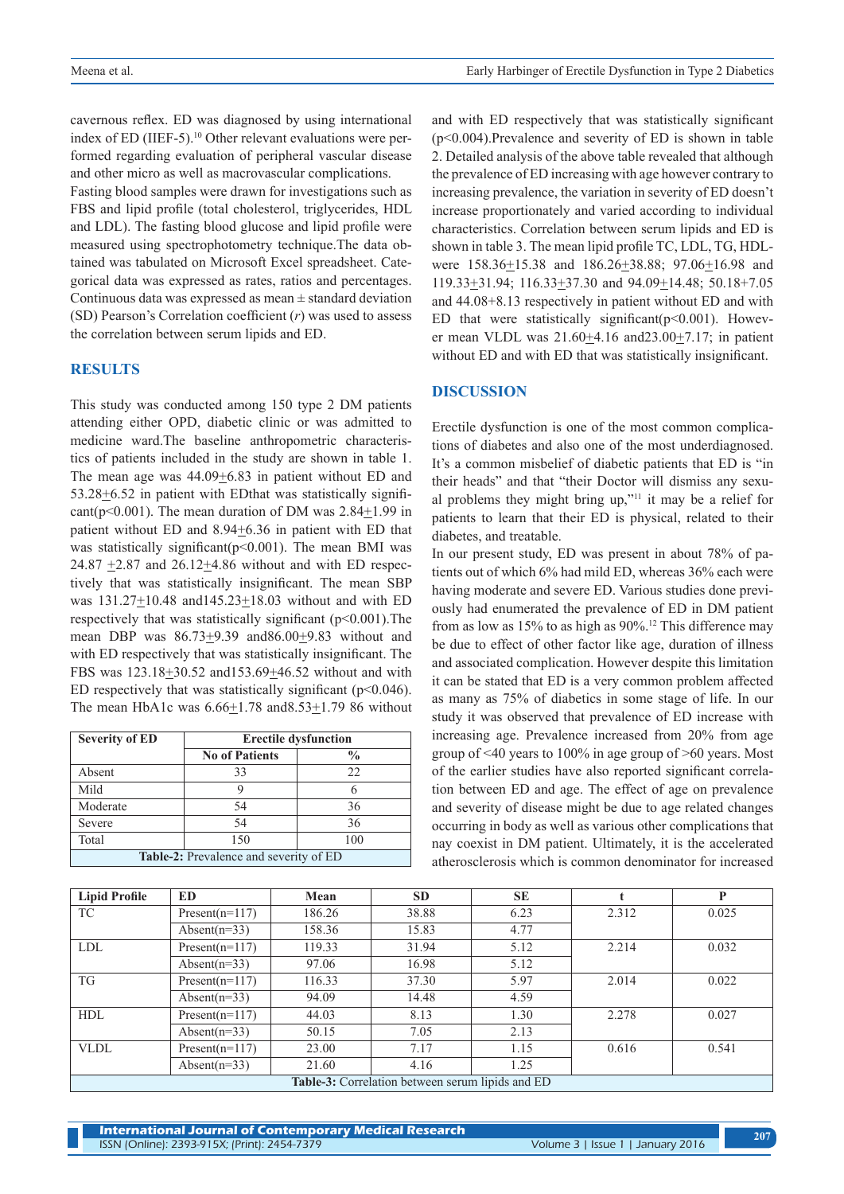cavernous reflex. ED was diagnosed by using international index of ED (IIEF-5).<sup>10</sup> Other relevant evaluations were performed regarding evaluation of peripheral vascular disease and other micro as well as macrovascular complications.

Fasting blood samples were drawn for investigations such as FBS and lipid profile (total cholesterol, triglycerides, HDL and LDL). The fasting blood glucose and lipid profile were measured using spectrophotometry technique.The data obtained was tabulated on Microsoft Excel spreadsheet. Categorical data was expressed as rates, ratios and percentages. Continuous data was expressed as mean ± standard deviation (SD) Pearson's Correlation coefficient (*r*) was used to assess the correlation between serum lipids and ED.

## **RESULTS**

This study was conducted among 150 type 2 DM patients attending either OPD, diabetic clinic or was admitted to medicine ward.The baseline anthropometric characteristics of patients included in the study are shown in table 1. The mean age was  $44.09 \pm 6.83$  in patient without ED and  $53.28 \pm 6.52$  in patient with EDthat was statistically significant( $p<0.001$ ). The mean duration of DM was 2.84+1.99 in patient without ED and 8.94+6.36 in patient with ED that was statistically significant( $p<0.001$ ). The mean BMI was 24.87  $\pm$ 2.87 and 26.12 $\pm$ 4.86 without and with ED respectively that was statistically insignificant. The mean SBP was 131.27+10.48 and145.23+18.03 without and with ED respectively that was statistically significant  $(p<0.001)$ . The mean DBP was  $86.73 \pm 9.39$  and  $86.00 \pm 9.83$  without and with ED respectively that was statistically insignificant. The FBS was 123.18+30.52 and153.69+46.52 without and with ED respectively that was statistically significant  $(p<0.046)$ . The mean HbA1c was 6.66+1.78 and8.53+1.79 86 without

| <b>Severity of ED</b>                         | <b>Erectile dysfunction</b> |               |  |  |  |  |
|-----------------------------------------------|-----------------------------|---------------|--|--|--|--|
|                                               | <b>No of Patients</b>       | $\frac{0}{0}$ |  |  |  |  |
| Absent                                        | 33                          | 22            |  |  |  |  |
| Mild                                          |                             |               |  |  |  |  |
| Moderate                                      | 54                          | 36            |  |  |  |  |
| Severe                                        | 54                          | 36            |  |  |  |  |
| Total                                         | 150                         | 100           |  |  |  |  |
| <b>Table-2:</b> Prevalence and severity of ED |                             |               |  |  |  |  |

and with ED respectively that was statistically significant (p<0.004).Prevalence and severity of ED is shown in table 2. Detailed analysis of the above table revealed that although the prevalence of ED increasing with age however contrary to increasing prevalence, the variation in severity of ED doesn't increase proportionately and varied according to individual characteristics. Correlation between serum lipids and ED is shown in table 3. The mean lipid profile TC, LDL, TG, HDLwere 158.36±15.38 and 186.26±38.88; 97.06±16.98 and 119.33+31.94; 116.33+37.30 and 94.09+14.48; 50.18+7.05 and 44.08+8.13 respectively in patient without ED and with ED that were statistically significant( $p$ <0.001). However mean VLDL was 21.60+4.16 and23.00+7.17; in patient without ED and with ED that was statistically insignificant.

#### **DISCUSSION**

Erectile dysfunction is one of the most common complications of diabetes and also one of the most underdiagnosed. It's a common misbelief of diabetic patients that ED is "in their heads" and that "their Doctor will dismiss any sexual problems they might bring up,"11 it may be a relief for patients to learn that their ED is physical, related to their diabetes, and treatable.

In our present study, ED was present in about 78% of patients out of which 6% had mild ED, whereas 36% each were having moderate and severe ED. Various studies done previously had enumerated the prevalence of ED in DM patient from as low as 15% to as high as 90%.12 This difference may be due to effect of other factor like age, duration of illness and associated complication. However despite this limitation it can be stated that ED is a very common problem affected as many as 75% of diabetics in some stage of life. In our study it was observed that prevalence of ED increase with increasing age. Prevalence increased from 20% from age group of <40 years to 100% in age group of >60 years. Most of the earlier studies have also reported significant correlation between ED and age. The effect of age on prevalence and severity of disease might be due to age related changes occurring in body as well as various other complications that nay coexist in DM patient. Ultimately, it is the accelerated atherosclerosis which is common denominator for increased

| <b>Lipid Profile</b>                             | <b>ED</b>        | Mean   | <b>SD</b> | <b>SE</b> |       | P     |  |  |
|--------------------------------------------------|------------------|--------|-----------|-----------|-------|-------|--|--|
| TC                                               | $Present(n=117)$ | 186.26 | 38.88     | 6.23      | 2.312 | 0.025 |  |  |
|                                                  | Absent( $n=33$ ) | 158.36 | 15.83     | 4.77      |       |       |  |  |
| <b>LDL</b>                                       | $Present(n=117)$ | 119.33 | 31.94     | 5.12      | 2.214 | 0.032 |  |  |
|                                                  | Absent( $n=33$ ) | 97.06  | 16.98     | 5.12      |       |       |  |  |
| <b>TG</b>                                        | $Present(n=117)$ | 116.33 | 37.30     | 5.97      | 2.014 | 0.022 |  |  |
|                                                  | Absent( $n=33$ ) | 94.09  | 14.48     | 4.59      |       |       |  |  |
| <b>HDL</b>                                       | $Present(n=117)$ | 44.03  | 8.13      | 1.30      | 2.278 | 0.027 |  |  |
|                                                  | Absent( $n=33$ ) | 50.15  | 7.05      | 2.13      |       |       |  |  |
| <b>VLDL</b>                                      | $Present(n=117)$ | 23.00  | 7.17      | 1.15      | 0.616 | 0.541 |  |  |
|                                                  | Absent( $n=33$ ) | 21.60  | 4.16      | 1.25      |       |       |  |  |
| Table-3: Correlation between serum lipids and ED |                  |        |           |           |       |       |  |  |

**International Journal of Contemporary Medical Research**